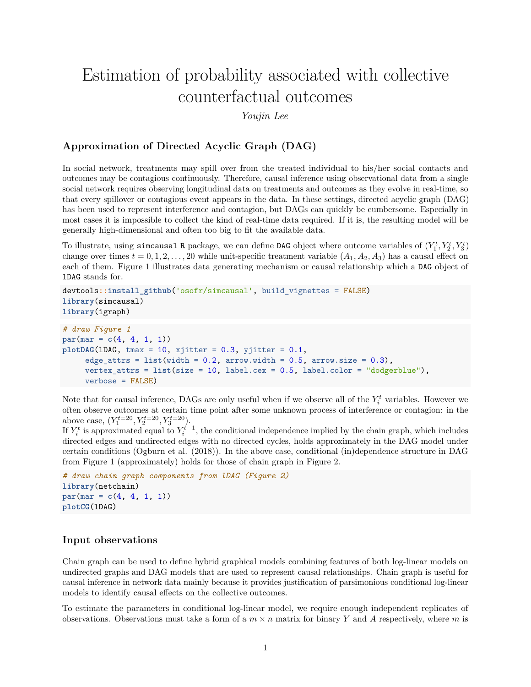# Estimation of probability associated with collective counterfactual outcomes

*Youjin Lee*

## **Approximation of Directed Acyclic Graph (DAG)**

In social network, treatments may spill over from the treated individual to his/her social contacts and outcomes may be contagious continuously. Therefore, causal inference using observational data from a single social network requires observing longitudinal data on treatments and outcomes as they evolve in real-time, so that every spillover or contagious event appears in the data. In these settings, directed acyclic graph (DAG) has been used to represent interference and contagion, but DAGs can quickly be cumbersome. Especially in most cases it is impossible to collect the kind of real-time data required. If it is, the resulting model will be generally high-dimensional and often too big to fit the available data.

To illustrate, using simcausal R package, we can define DAG object where outcome variables of  $(Y_1^t, Y_2^t, Y_3^t)$ change over times  $t = 0, 1, 2, \ldots, 20$  while unit-specific treatment variable  $(A_1, A_2, A_3)$  has a causal effect on each of them. Figure [1](#page-1-0) illustrates data generating mechanism or causal relationship which a DAG object of lDAG stands for.

```
devtools::install_github('osofr/simcausal', build_vignettes = FALSE)
library(simcausal)
library(igraph)
# draw Figure 1
par(max = c(4, 4, 1, 1))plotDAG(1DAG, tmax = 10, xjitter = 0.3, yjitter = 0.1,edge\_attrs = list(width = 0.2, arrow.width = 0.5, arrow.size = 0.3),vertex_attrs = list(size = 10, label.cex = 0.5, label.color = "dodgerblue"),
     verbose = FALSE)
```
Note that for causal inference, DAGs are only useful when if we observe all of the  $Y_i^t$  variables. However we often observe outcomes at certain time point after some unknown process of interference or contagion: in the above case,  $(Y_1^{t=20}, Y_2^{t=20}, Y_3^{t=20}).$ 

If  $Y_i^t$  is approximated equal to  $Y_i^{t-1}$ , the conditional independence implied by the chain graph, which includes directed edges and undirected edges with no directed cycles, holds approximately in the DAG model under certain conditions [\(Ogburn et al. \(2018\)\)](https://arxiv.org/abs/1812.04990). In the above case, conditional (in)dependence structure in DAG from Figure [1](#page-1-0) (approximately) holds for those of chain graph in Figure [2.](#page-1-1)

```
# draw chain graph components from lDAG (Figure 2)
library(netchain)
par(max = c(4, 4, 1, 1))plotCG(lDAG)
```
#### **Input observations**

Chain graph can be used to define hybrid graphical models combining features of both log-linear models on undirected graphs and DAG models that are used to represent causal relationships. Chain graph is useful for causal inference in network data mainly because it provides justification of parsimonious conditional log-linear models to identify causal effects on the collective outcomes.

To estimate the parameters in conditional log-linear model, we require enough independent replicates of observations. Observations must take a form of a  $m \times n$  matrix for binary *Y* and *A* respectively, where *m* is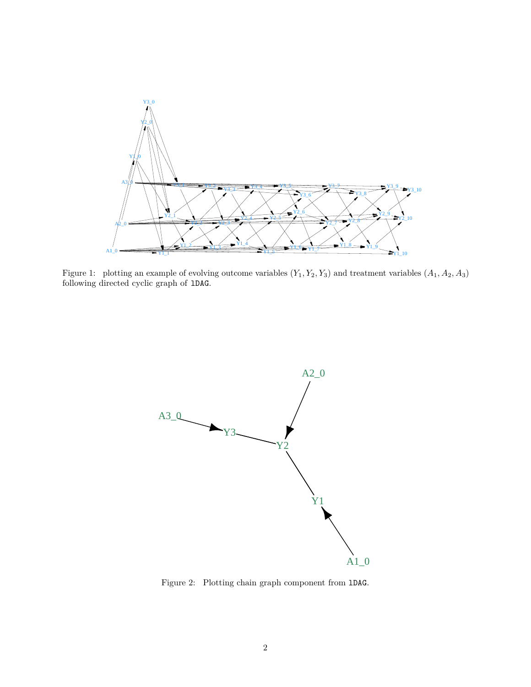

Figure 1: plotting an example of evolving outcome variables  $(Y_1, Y_2, Y_3)$  and treatment variables  $(A_1, A_2, A_3)$ following directed cyclic graph of lDAG.

<span id="page-1-0"></span>

<span id="page-1-1"></span>Figure 2: Plotting chain graph component from lDAG.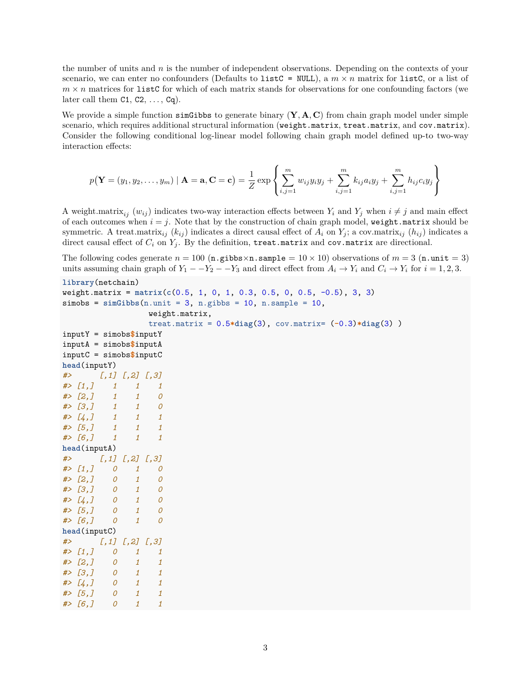the number of units and *n* is the number of independent observations. Depending on the contexts of your scenario, we can enter no confounders (Defaults to list  $C = NULL$ ), a  $m \times n$  matrix for list  $C$ , or a list of  $m \times n$  matrices for list C for which of each matrix stands for observations for one confounding factors (we later call them  $C1, C2, \ldots, Cq$ .

We provide a simple function simGibbs to generate binary  $(Y, A, C)$  from chain graph model under simple scenario, which requires additional structural information (weight.matrix, treat.matrix, and cov.matrix). Consider the following conditional log-linear model following chain graph model defined up-to two-way interaction effects:

$$
p(\mathbf{Y} = (y_1, y_2, ..., y_m) | \mathbf{A} = \mathbf{a}, \mathbf{C} = \mathbf{c}) = \frac{1}{Z} \exp \left\{ \sum_{i,j=1}^m w_{ij} y_i y_j + \sum_{i,j=1}^m k_{ij} a_i y_j + \sum_{i,j=1}^m h_{ij} c_i y_j \right\}
$$

A weight.matrix<sub>ij</sub>  $(w_{ij})$  indicates two-way interaction effects between  $Y_i$  and  $Y_j$  when  $i \neq j$  and main effect of each outcomes when  $i = j$ . Note that by the construction of chain graph model, weight.matrix should be symmetric. A treat.matrix<sub>ij</sub>  $(k_{ij})$  indicates a direct causal effect of  $A_i$  on  $Y_j$ ; a cov.matrix<sub>ij</sub>  $(h_{ij})$  indicates a direct causal effect of  $C_i$  on  $Y_j$ . By the definition, treat.matrix and cov.matrix are directional.

The following codes generate  $n = 100$  (n.gibbs  $\times$ n.sample =  $10 \times 10$ ) observations of  $m = 3$  (n.unit = 3) units assuming chain graph of  $Y_1 - Y_2 - Y_3$  and direct effect from  $A_i \to Y_i$  and  $C_i \to Y_i$  for  $i = 1, 2, 3$ .

```
library(netchain)
weight.matrix = matrix(c(0.5, 1, 0, 1, 0.3, 0.5, 0, 0.5, -0.5), 3, 3)
simes = simGibbs(n-unit = 3, n.gibbs = 10, n.sample = 10,weight.matrix,
               treat.matrix = 0.5*diag(3), cov.matrix= (-0.3)*diag(3) )
inputY = simobs$inputY
inputA = simobs$inputA
inputC = simobs$inputC
head(inputY)
#> [,1] [,2] [,3]
#> [1,] 1 1 1
#> [2,] 1 1 0
#> [3,] 1 1 0
#> [4,] 1 1 1
#> [5,] 1 1 1
#> [6,] 1 1 1
head(inputA)
#> [,1] [,2] [,3]
#> [1,] 0 1 0
#> [2,] 0 1 0
#> [3,] 0 1 0
#> [4,] 0 1 0
#> [5,] 0 1 0
#> [6,] 0 1 0
head(inputC)
#> [,1] [,2] [,3]
#> [1,] 0 1 1
#> [2,] 0 1 1
#> [3,] 0 1 1
#> [4,] 0 1 1
#> [5,] 0 1 1
#> [6,] 0 1 1
```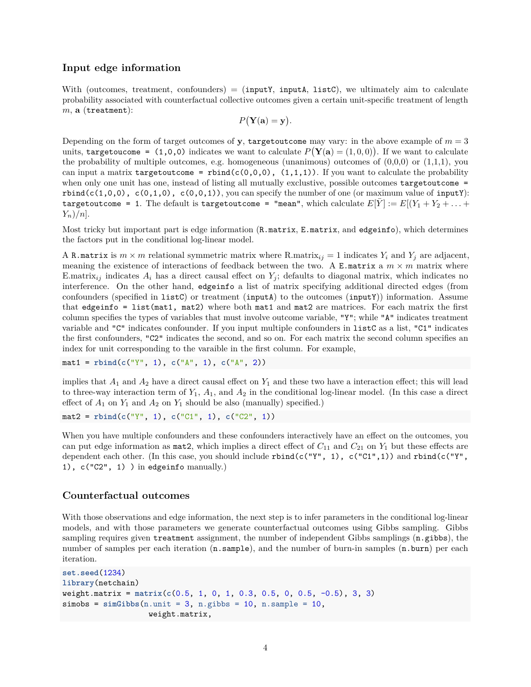#### **Input edge information**

With (outcomes, treatment, confounders)  $=$  (inputY, inputA, listC), we ultimately aim to calculate probability associated with counterfactual collective outcomes given a certain unit-specific treatment of length *m*, **a** (treatment):

$$
P(\mathbf{Y}(\mathbf{a})=\mathbf{y}).
$$

Depending on the form of target outcomes of **y**, targetoutcome may vary: in the above example of  $m = 3$ units, targetoucome =  $(1,0,0)$  indicates we want to calculate  $P(Y(\mathbf{a}) = (1,0,0))$ . If we want to calculate the probability of multiple outcomes, e.g. homogeneous (unanimous) outcomes of  $(0,0,0)$  or  $(1,1,1)$ , you can input a matrix targetoutcome =  $rbind(c(0,0,0))$ ,  $(1,1,1))$ . If you want to calculate the probability when only one unit has one, instead of listing all mutually exclustive, possible outcomes targetoutcome =  $rbind(c(1,0,0), c(0,1,0), c(0,0,1)),$  you can specify the number of one (or maximum value of inputY): targetoutcome = 1. The default is targetoutcome = "mean", which calculate  $E[Y] := E[(Y_1 + Y_2 + \ldots + Y_n)]$ *Yn*)*/n*].

Most tricky but important part is edge information (R.matrix, E.matrix, and edgeinfo), which determines the factors put in the conditional log-linear model.

A R.matrix is  $m \times m$  relational symmetric matrix where R.matrix<sub>ij</sub> = 1 indicates  $Y_i$  and  $Y_j$  are adjacent, meaning the existence of interactions of feedback between the two. A E.matrix a  $m \times m$  matrix where E.matrix<sub>ij</sub> indicates  $A_i$  has a direct causal effect on  $Y_j$ ; defaults to diagonal matrix, which indicates no interference. On the other hand, edgeinfo a list of matrix specifying additional directed edges (from confounders (specified in listC) or treatment (inputA) to the outcomes (inputY)) information. Assume that edgeinfo = list(mat1, mat2) where both mat1 and mat2 are matrices. For each matrix the first column specifies the types of variables that must involve outcome variable, "Y"; while "A" indicates treatment variable and "C" indicates confounder. If you input multiple confounders in listC as a list, "C1" indicates the first confounders, "C2" indicates the second, and so on. For each matrix the second column specifies an index for unit corresponding to the varaible in the first column. For example,

```
mat1 = rbind(c("Y", 1), c("A", 1), c("A", 2))
```
implies that  $A_1$  and  $A_2$  have a direct causal effect on  $Y_1$  and these two have a interaction effect; this will lead to three-way interaction term of  $Y_1$ ,  $A_1$ , and  $A_2$  in the conditional log-linear model. (In this case a direct effect of  $A_1$  on  $Y_1$  and  $A_2$  on  $Y_1$  should be also (manually) specified.)

```
\text{mat2} = \text{rbind}(c("Y", 1), c("C1", 1), c("C2", 1))
```
When you have multiple confounders and these confounders interactively have an effect on the outcomes, you can put edge information as mat2, which implies a direct effect of  $C_{11}$  and  $C_{21}$  on  $Y_1$  but these effects are dependent each other. (In this case, you should include  $rbind(c("Y", 1), c("C1", 1))$  and  $rbind(c("Y", 1))$ 1), c("C2", 1) ) in edgeinfo manually.)

#### **Counterfactual outcomes**

With those observations and edge information, the next step is to infer parameters in the conditional log-linear models, and with those parameters we generate counterfactual outcomes using Gibbs sampling. Gibbs sampling requires given treatment assignment, the number of independent Gibbs samplings (n.gibbs), the number of samples per each iteration  $(n \cdot \text{sample})$ , and the number of burn-in samples  $(n \cdot \text{burn})$  per each iteration.

```
set.seed(1234)
library(netchain)
weight.matrix = matrix(c(0.5, 1, 0, 1, 0.3, 0.5, 0, 0.5, -0.5), 3, 3)
simobs = simGibbs(n-unit = 3, n.gibbs = 10, n.sample = 10,weight.matrix,
```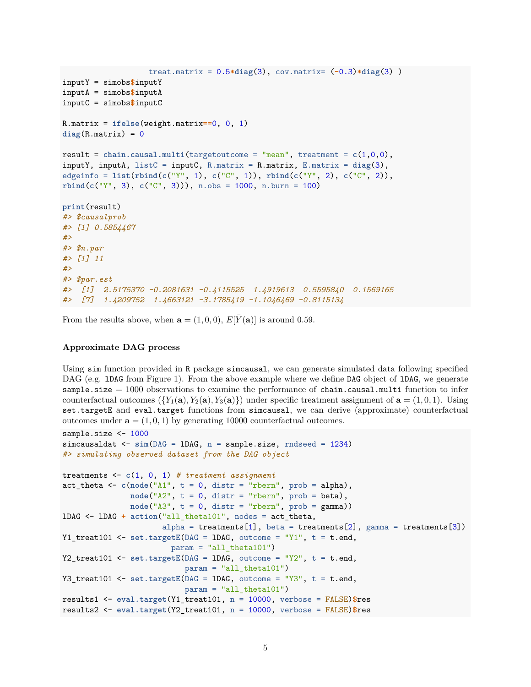```
treat.matrix = 0.5*diag(3), cov.matrix= (-0.3)*diag(3) )
inputY = simobs$inputY
inputA = simobs$inputA
inputC = simobs$inputC
R.matrix = ifelse(weight.matrix==0, 0, 1)
diag(R.matrix) = 0result = chain.causal.multi(targetoutcome = "mean", treatment = <math>c(1,0,0)</math>,inputY, inputA, listC = inputC, R.matrix = R.matrix, E.matrix = diag(3),
edgeinfo = list(rbind(c("Y", 1), c("C", 1)), rbind(c("Y", 2), c("C", 2)),
rbind(c("Y", 3), c("C", 3))), n.obs = 1000, n.burn = 100)
print(result)
#> $causalprob
#> [1] 0.5854467
#>
#> $n.par
#> [1] 11
#>
#> $par.est
#> [1] 2.5175370 -0.2081631 -0.4115525 1.4919613 0.5595840 0.1569165
#> [7] 1.4209752 1.4663121 -3.1785419 -1.1046469 -0.8115134
```
From the results above, when  $\mathbf{a} = (1,0,0), E[Y(\mathbf{a})]$  is around 0.59.

#### **Approximate DAG process**

Using sim function provided in R package simcausal, we can generate simulated data following specified DAG (e.g. 1DAG from Figure [1\)](#page-1-0). From the above example where we define DAG object of 1DAG, we generate sample.size = 1000 observations to examine the performance of chain.causal.multi function to infer counterfactual outcomes  $({Y_1}(\mathbf{a}), {Y_2}(\mathbf{a}), {Y_3}(\mathbf{a})\})$  under specific treatment assignment of  $\mathbf{a} = (1,0,1)$ . Using set.targetE and eval.target functions from simcausal, we can derive (approximate) counterfactual outcomes under  $\mathbf{a} = (1, 0, 1)$  by generating 10000 counterfactual outcomes.

```
sample.size <- 1000
simcausaldat <- \sin(DAG = IDAG, n = sample.size, rndseed = 1234)#> simulating observed dataset from the DAG object
treatments <- c(1, 0, 1) # treatment assignment
act_{\text{theta}} < -c(\text{node}("A1", t = 0, \text{distr} = "rbern", \text{prob} = \text{alpha}),node("A2", t = 0, distr = "rbern", prob = beta),node("A3", t = 0, distr = "rbern", prob = gamma))
lDAG <- lDAG + action("all_theta101", nodes = act_theta,
                       alpha = treatments[1], beta = treatments[2], gamma = treatments[3])Y1_treat101 \leq set.targetE(DAG = 1DAG, outcome = "Y1", t = t.end,
                         param = "all\_theta101")Y2_treat101 <- set.targetE(DAG = 1DAG, outcome = "Y2", t = t.end,
                            param = "all_theta101")
Y3 treat101 \leq set.targetE(DAG = lDAG, outcome = "Y3", t = t.end,
                            param = "all_theta101")
results1 <- eval.target(Y1_treat101, n = 10000, verbose = FALSE)$res
results2 <- eval.target(Y2_treat101, n = 10000, verbose = FALSE)$res
```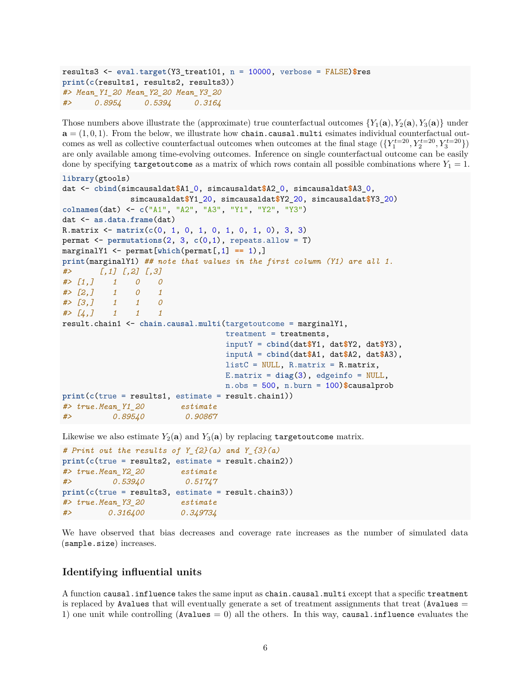```
results3 <- eval.target(Y3_treat101, n = 10000, verbose = FALSE)$res
print(c(results1, results2, results3))
#> Mean_Y1_20 Mean_Y2_20 Mean_Y3_20
#> 0.8954 0.5394 0.3164
```
Those numbers above illustrate the (approximate) true counterfactual outcomes  ${Y_1(\mathbf{a}), Y_2(\mathbf{a}), Y_3(\mathbf{a})}$  under  $\mathbf{a} = (1, 0, 1)$ . From the below, we illustrate how chain.causal.multi esimates individual counterfactual outcomes as well as collective counterfactual outcomes when outcomes at the final stage  $({Y_1^{t=20}, Y_2^{t=20}, Y_3^{t=20}})$ are only available among time-evolving outcomes. Inference on single counterfactual outcome can be easily done by specifying targetoutcome as a matrix of which rows contain all possible combinations where  $Y_1 = 1$ .

```
library(gtools)
dat <- cbind(simcausaldat$A1_0, simcausaldat$A2_0, simcausaldat$A3_0,
              simcausaldat$Y1_20, simcausaldat$Y2_20, simcausaldat$Y3_20)
colnames(dat) <- c("A1", "A2", "A3", "Y1", "Y2", "Y3")
dat <- as.data.frame(dat)
R.matrix <- matrix(c(0, 1, 0, 1, 0, 1, 0, 1, 0), 3, 3)
permat <- permutations(2, 3, c(0,1), repeats.allow = T)
marginalY1 <- permat[which(permat[,1] == 1),]
print(marginalY1) ## note that values in the first column (Y1) are all 1.
#> [,1] [,2] [,3]
#> [1,] 1 0 0
#> [2,] 1 0 1
#> [3,] 1 1 0
#> [4,] 1 1 1
result.chain1 <- chain.causal.multi(targetoutcome = marginalY1,
                                  treatment = treatments,
                                  inputY = cbind(dat$Y1, dat$Y2, dat$Y3),
                                  inputA = cbind(dat$A1, dat$A2, dat$A3),
                                  listC = NULL, R.matrix = R.matrix,E.matrix = diag(3), edgeinfo = NULL,
                                  n.obs = 500, n.burn = 100)$causalprob
print(c(true = results1, estimate = result.chain1))
#> true.Mean_Y1_20 estimate
#> 0.89540 0.90867
```
Likewise we also estimate  $Y_2(\mathbf{a})$  and  $Y_3(\mathbf{a})$  by replacing targetoutcome matrix.

```
# Print out the results of Y_{2}(a) and Y_{3}(a)
print(c(true = results2, estimate = result.chain2))
#> true.Mean_Y2_20 estimate
#> 0.53940 0.51747
print(c(true = results3, estimate = result.chain3))
#> true.Mean_Y3_20 estimate
#> 0.316400 0.349734
```
We have observed that bias decreases and coverage rate increases as the number of simulated data (sample.size) increases.

#### **Identifying influential units**

A function causal.influence takes the same input as chain.causal.multi except that a specific treatment is replaced by Avalues that will eventually generate a set of treatment assignments that treat (Avalues  $=$ 1) one unit while controlling (Avalues  $= 0$ ) all the others. In this way, causal.influence evaluates the